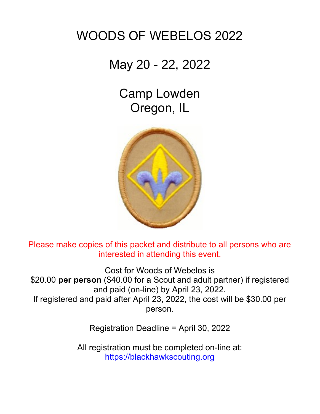# WOODS OF WEBELOS 2022

## May 20 - 22, 2022

Camp Lowden Oregon, IL



Please make copies of this packet and distribute to all persons who are interested in attending this event.

Cost for Woods of Webelos is \$20.00 per person (\$40.00 for a Scout and adult partner) if registered and paid (on-line) by April 23, 2022. If registered and paid after April 23, 2022, the cost will be \$30.00 per person.

Registration Deadline = April 30, 2022

All registration must be completed on-line at: https://blackhawkscouting.org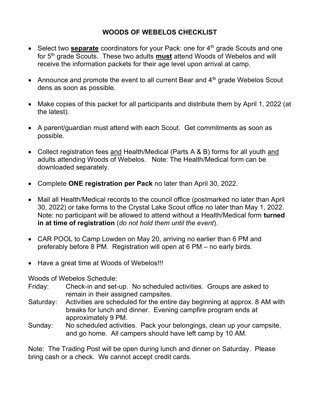#### WOODS OF WEBELOS CHECKLIST

- $\bullet$  Select two **separate** coordinators for your Pack: one for  $4<sup>th</sup>$  grade Scouts and one for 5<sup>th</sup> grade Scouts. These two adults **must** attend Woods of Webelos and will receive the information packets for their age level upon arrival at camp.
- Announce and promote the event to all current Bear and  $4<sup>th</sup>$  grade Webelos Scout dens as soon as possible.
- Make copies of this packet for all participants and distribute them by April 1, 2022 (at the latest).
- A parent/guardian must attend with each Scout. Get commitments as soon as possible.
- Collect registration fees and Health/Medical (Parts A & B) forms for all youth and adults attending Woods of Webelos. Note: The Health/Medical form can be downloaded separately.
- Complete ONE registration per Pack no later than April 30, 2022.
- Mail all Health/Medical records to the council office (postmarked no later than April 30, 2022) or take forms to the Crystal Lake Scout office no later than May 1, 2022. Note: no participant will be allowed to attend without a Health/Medical form turned in at time of registration (do not hold them until the event).
- CAR POOL to Camp Lowden on May 20, arriving no earlier than 6 PM and preferably before 8 PM. Registration will open at 6 PM – no early birds.
- Have a great time at Woods of Webelos!!!

Woods of Webelos Schedule:

- Friday: Check-in and set-up. No scheduled activities. Groups are asked to remain in their assigned campsites.
- Saturday: Activities are scheduled for the entire day beginning at approx. 8 AM with breaks for lunch and dinner. Evening campfire program ends at approximately 9 PM.
- Sunday: No scheduled activities. Pack your belongings, clean up your campsite, and go home. All campers should have left camp by 10 AM.

Note: The Trading Post will be open during lunch and dinner on Saturday. Please bring cash or a check. We cannot accept credit cards.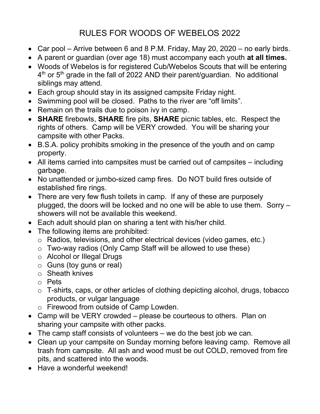## RULES FOR WOODS OF WEBELOS 2022

- Car pool Arrive between 6 and 8 P.M. Friday, May 20, 2020 no early birds.
- A parent or quardian (over age 18) must accompany each youth at all times.
- Woods of Webelos is for registered Cub/Webelos Scouts that will be entering  $4^{\text{th}}$  or 5 $^{\text{th}}$  grade in the fall of 2022 AND their parent/guardian. No additional siblings may attend.
- Each group should stay in its assigned campsite Friday night.
- Swimming pool will be closed. Paths to the river are "off limits".
- Remain on the trails due to poison ivy in camp.
- SHARE firebowls, SHARE fire pits, SHARE picnic tables, etc. Respect the rights of others. Camp will be VERY crowded. You will be sharing your campsite with other Packs.
- B.S.A. policy prohibits smoking in the presence of the youth and on camp property.
- All items carried into campsites must be carried out of campsites including garbage.
- No unattended or jumbo-sized camp fires. Do NOT build fires outside of established fire rings.
- There are very few flush toilets in camp. If any of these are purposely plugged, the doors will be locked and no one will be able to use them. Sorry – showers will not be available this weekend.
- Each adult should plan on sharing a tent with his/her child.
- The following items are prohibited:
	- o Radios, televisions, and other electrical devices (video games, etc.)
	- o Two-way radios (Only Camp Staff will be allowed to use these)
	- o Alcohol or Illegal Drugs
	- $\circ$  Guns (toy guns or real)
	- o Sheath knives
	- o Pets
	- o T-shirts, caps, or other articles of clothing depicting alcohol, drugs, tobacco products, or vulgar language
	- o Firewood from outside of Camp Lowden.
- Camp will be VERY crowded please be courteous to others. Plan on sharing your campsite with other packs.
- The camp staff consists of volunteers we do the best job we can.
- Clean up your campsite on Sunday morning before leaving camp. Remove all trash from campsite. All ash and wood must be out COLD, removed from fire pits, and scattered into the woods.
- Have a wonderful weekend!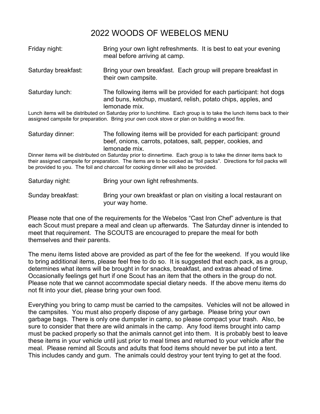### 2022 WOODS OF WEBELOS MENU

| Friday night:                                                                                                                                                                                                                                                                                                                  | Bring your own light refreshments. It is best to eat your evening<br>meal before arriving at camp.                                                    |
|--------------------------------------------------------------------------------------------------------------------------------------------------------------------------------------------------------------------------------------------------------------------------------------------------------------------------------|-------------------------------------------------------------------------------------------------------------------------------------------------------|
| Saturday breakfast:                                                                                                                                                                                                                                                                                                            | Bring your own breakfast. Each group will prepare breakfast in<br>their own campsite.                                                                 |
| Saturday lunch:                                                                                                                                                                                                                                                                                                                | The following items will be provided for each participant: hot dogs<br>and buns, ketchup, mustard, relish, potato chips, apples, and<br>lemonade mix. |
| Lunch items will be distributed on Saturday prior to lunchtime. Each group is to take the lunch items back to their<br>assigned campsite for preparation. Bring your own cook stove or plan on building a wood fire.                                                                                                           |                                                                                                                                                       |
| Saturday dinner:                                                                                                                                                                                                                                                                                                               | The following items will be provided for each participant: ground<br>beef, onions, carrots, potatoes, salt, pepper, cookies, and<br>lemonade mix.     |
| Dinner items will be distributed on Saturday prior to dinnertime. Each group is to take the dinner items back to<br>their assigned campsite for preparation. The items are to be cooked as "foil packs". Directions for foil packs will<br>be provided to you. The foil and charcoal for cooking dinner will also be provided. |                                                                                                                                                       |
| Saturday night:                                                                                                                                                                                                                                                                                                                | Bring your own light refreshments.                                                                                                                    |
| Sunday breakfast:                                                                                                                                                                                                                                                                                                              | Bring your own breakfast or plan on visiting a local restaurant on                                                                                    |

Please note that one of the requirements for the Webelos "Cast Iron Chef" adventure is that each Scout must prepare a meal and clean up afterwards. The Saturday dinner is intended to meet that requirement. The SCOUTS are encouraged to prepare the meal for both themselves and their parents.

your way home.

The menu items listed above are provided as part of the fee for the weekend. If you would like to bring additional items, please feel free to do so. It is suggested that each pack, as a group, determines what items will be brought in for snacks, breakfast, and extras ahead of time. Occasionally feelings get hurt if one Scout has an item that the others in the group do not. Please note that we cannot accommodate special dietary needs. If the above menu items do not fit into your diet, please bring your own food.

Everything you bring to camp must be carried to the campsites. Vehicles will not be allowed in the campsites. You must also properly dispose of any garbage. Please bring your own garbage bags. There is only one dumpster in camp, so please compact your trash. Also, be sure to consider that there are wild animals in the camp. Any food items brought into camp must be packed properly so that the animals cannot get into them. It is probably best to leave these items in your vehicle until just prior to meal times and returned to your vehicle after the meal. Please remind all Scouts and adults that food items should never be put into a tent. This includes candy and gum. The animals could destroy your tent trying to get at the food.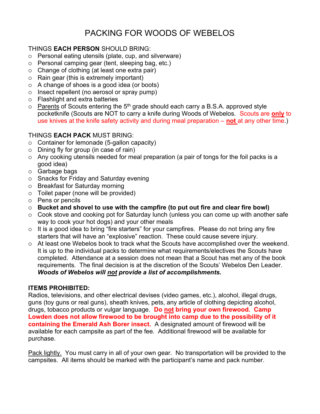### PACKING FOR WOODS OF WEBELOS

#### THINGS EACH PERSON SHOULD BRING:

- Personal eating utensils (plate, cup, and silverware)
- Personal camping gear (tent, sleeping bag, etc.)
- Change of clothing (at least one extra pair)
- Rain gear (this is extremely important)
- A change of shoes is a good idea (or boots)
- $\circ$  Insect repellent (no aerosol or spray pump)
- Flashlight and extra batteries
- $\circ$  Parents of Scouts entering the 5<sup>th</sup> grade should each carry a B.S.A. approved style pocketknife (Scouts are NOT to carry a knife during Woods of Webelos. Scouts are only to use knives at the knife safety activity and during meal preparation  $-$  not at any other time.)

#### THINGS EACH PACK MUST BRING:

- $\circ$  Container for lemonade (5-gallon capacity)
- $\circ$  Dining fly for group (in case of rain)
- Any cooking utensils needed for meal preparation (a pair of tongs for the foil packs is a good idea)
- Garbage bags
- Snacks for Friday and Saturday evening
- Breakfast for Saturday morning
- Toilet paper (none will be provided)
- $\circ$  Pens or pencils
- $\circ$  Bucket and shovel to use with the campfire (to put out fire and clear fire bowl)
- $\circ$  Cook stove and cooking pot for Saturday lunch (unless you can come up with another safe way to cook your hot dogs) and your other meals
- $\circ$  It is a good idea to bring "fire starters" for your campfires. Please do not bring any fire starters that will have an "explosive" reaction. These could cause severe injury.
- At least one Webelos book to track what the Scouts have accomplished over the weekend. It is up to the individual packs to determine what requirements/electives the Scouts have completed. Attendance at a session does not mean that a Scout has met any of the book requirements. The final decision is at the discretion of the Scouts' Webelos Den Leader. Woods of Webelos will not provide a list of accomplishments.

#### ITEMS PROHIBITED:

Radios, televisions, and other electrical devises (video games, etc.), alcohol, illegal drugs, guns (toy guns or real guns), sheath knives, pets, any article of clothing depicting alcohol, drugs, tobacco products or vulgar language. Do not bring your own firewood. Camp Lowden does not allow firewood to be brought into camp due to the possibility of it containing the Emerald Ash Borer insect. A designated amount of firewood will be available for each campsite as part of the fee. Additional firewood will be available for purchase.

Pack lightly. You must carry in all of your own gear. No transportation will be provided to the campsites. All items should be marked with the participant's name and pack number.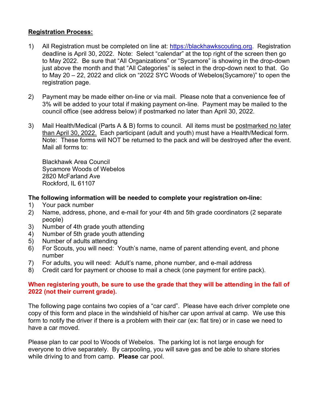#### Registration Process:

- 1) All Registration must be completed on line at: https://blackhawkscouting.org. Registration deadline is April 30, 2022. Note: Select "calendar" at the top right of the screen then go to May 2022. Be sure that "All Organizations" or "Sycamore" is showing in the drop-down just above the month and that "All Categories" is select in the drop-down next to that. Go to May 20 – 22, 2022 and click on "2022 SYC Woods of Webelos(Sycamore)" to open the registration page.
- 2) Payment may be made either on-line or via mail. Please note that a convenience fee of 3% will be added to your total if making payment on-line. Payment may be mailed to the council office (see address below) if postmarked no later than April 30, 2022.
- 3) Mail Health/Medical (Parts A & B) forms to council. All items must be postmarked no later than April 30, 2022. Each participant (adult and youth) must have a Health/Medical form. Note: These forms will NOT be returned to the pack and will be destroyed after the event. Mail all forms to:

Blackhawk Area Council Sycamore Woods of Webelos 2820 McFarland Ave Rockford, IL 61107

#### The following information will be needed to complete your registration on-line:

- 1) Your pack number
- 2) Name, address, phone, and e-mail for your 4th and 5th grade coordinators (2 separate people)
- 3) Number of 4th grade youth attending
- 4) Number of 5th grade youth attending
- 5) Number of adults attending
- 6) For Scouts, you will need: Youth's name, name of parent attending event, and phone number
- 7) For adults, you will need: Adult's name, phone number, and e-mail address
- 8) Credit card for payment or choose to mail a check (one payment for entire pack).

#### When registering youth, be sure to use the grade that they will be attending in the fall of 2022 (not their current grade).

The following page contains two copies of a "car card". Please have each driver complete one copy of this form and place in the windshield of his/her car upon arrival at camp. We use this form to notify the driver if there is a problem with their car (ex: flat tire) or in case we need to have a car moved.

Please plan to car pool to Woods of Webelos. The parking lot is not large enough for everyone to drive separately. By carpooling, you will save gas and be able to share stories while driving to and from camp. Please car pool.